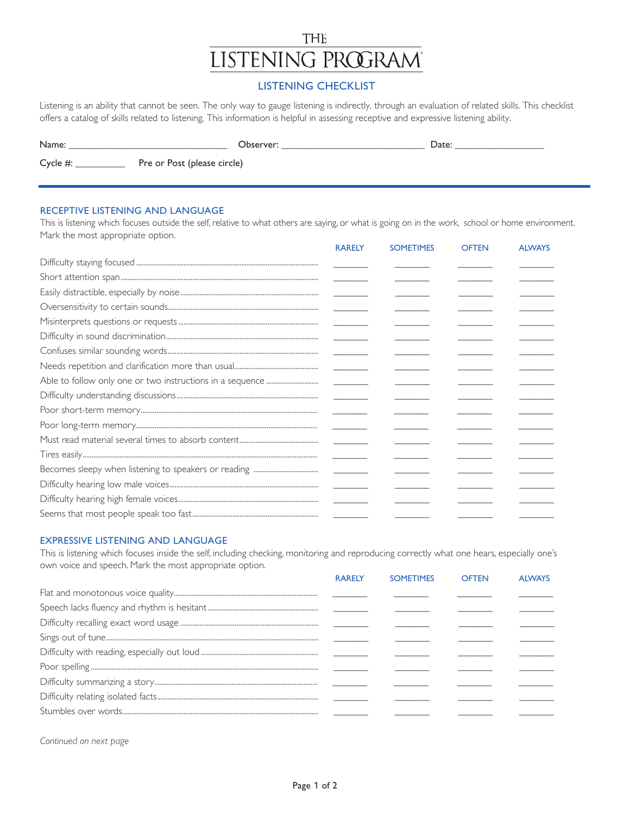# THE **LISTENING PROGRAM**

# **LISTENING CHECKLIST**

Listening is an ability that cannot be seen. The only way to gauge listening is indirectly, through an evaluation of related skills. This checklist offers a catalog of skills related to listening. This information is helpful in assessing receptive and expressive listening ability.

| Name:       | Observer:                   | Date: |
|-------------|-----------------------------|-------|
| Cycle $#$ : | Pre or Post (please circle) |       |

## RECEPTIVE LISTENING AND LANGUAGE

This is listening which focuses outside the self, relative to what others are saying, or what is going on in the work, school or home environment. Mark the most appropriate option.

| <b>RARELY</b> | <b>SOMETIMES</b> | <b>OFTEN</b> | <b>ALWAYS</b> |
|---------------|------------------|--------------|---------------|
|               |                  |              |               |
|               |                  |              |               |
|               |                  |              |               |
|               |                  |              |               |
|               |                  |              |               |
|               |                  |              |               |
|               |                  |              |               |
|               |                  |              |               |
|               |                  |              |               |
|               |                  |              |               |
|               |                  |              |               |
|               |                  |              |               |
|               |                  |              |               |
|               |                  |              |               |
|               |                  |              |               |
|               |                  |              |               |
|               |                  |              |               |
|               |                  |              |               |

#### **EXPRESSIVE LISTENING AND LANGUAGE**

This is listening which focuses inside the self, including checking, monitoring and reproducing correctly what one hears, especially one's own voice and speech. Mark the most appropriate option.

| <b>RARELY</b> | <b>SOMETIMES</b> | <b>OFTEN</b> | <b>AIWAYS</b> |
|---------------|------------------|--------------|---------------|
|               |                  |              |               |
|               |                  |              |               |
|               |                  |              |               |
|               |                  |              |               |
|               |                  |              |               |
|               |                  |              |               |
|               |                  |              |               |
|               |                  |              |               |
|               |                  |              |               |
|               |                  |              |               |

Continued on next page